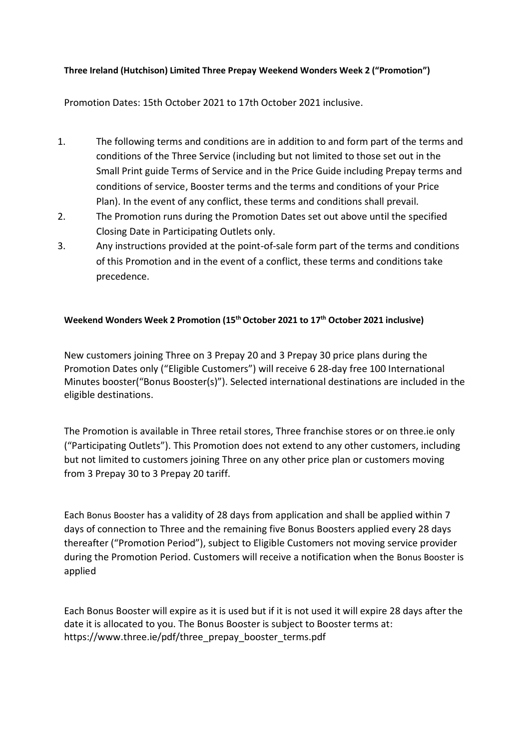## **Three Ireland (Hutchison) Limited Three Prepay Weekend Wonders Week 2 ("Promotion")**

Promotion Dates: 15th October 2021 to 17th October 2021 inclusive.

- 1. The following terms and conditions are in addition to and form part of the terms and conditions of the Three Service (including but not limited to those set out in the Small Print guide Terms of Service and in the Price Guide including Prepay terms and conditions of service, Booster terms and the terms and conditions of your Price Plan). In the event of any conflict, these terms and conditions shall prevail.
- 2. The Promotion runs during the Promotion Dates set out above until the specified Closing Date in Participating Outlets only.
- 3. Any instructions provided at the point-of-sale form part of the terms and conditions of this Promotion and in the event of a conflict, these terms and conditions take precedence.

## **Weekend Wonders Week 2 Promotion (15th October 2021 to 17 th October 2021 inclusive)**

New customers joining Three on 3 Prepay 20 and 3 Prepay 30 price plans during the Promotion Dates only ("Eligible Customers") will receive 6 28-day free 100 International Minutes booster("Bonus Booster(s)"). Selected international destinations are included in the eligible destinations.

The Promotion is available in Three retail stores, Three franchise stores or on three.ie only ("Participating Outlets"). This Promotion does not extend to any other customers, including but not limited to customers joining Three on any other price plan or customers moving from 3 Prepay 30 to 3 Prepay 20 tariff.

Each Bonus Booster has a validity of 28 days from application and shall be applied within 7 days of connection to Three and the remaining five Bonus Boosters applied every 28 days thereafter ("Promotion Period"), subject to Eligible Customers not moving service provider during the Promotion Period. Customers will receive a notification when the Bonus Booster is applied

Each Bonus Booster will expire as it is used but if it is not used it will expire 28 days after the date it is allocated to you. The Bonus Booster is subject to Booster terms at: [https://www.three.ie/pdf/three\\_prepay\\_booster\\_terms.pdf](https://www.three.ie/pdf/three_prepay_booster_terms.pdf)